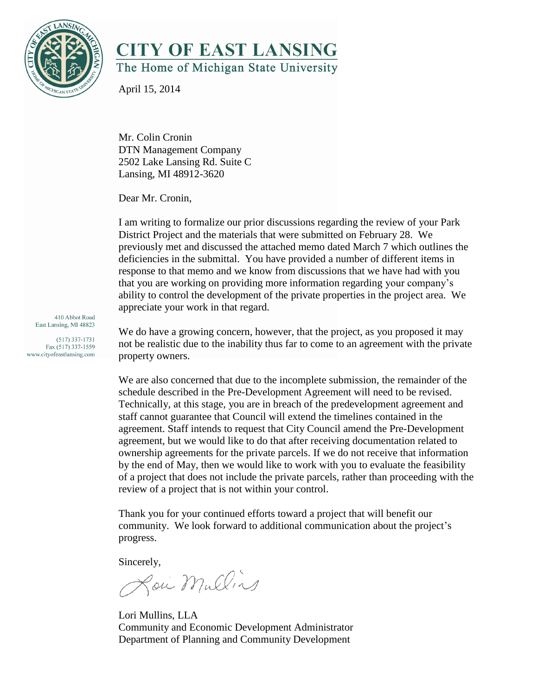

## **CITY OF EAST LANSING** The Home of Michigan State University

April 15, 2014

Mr. Colin Cronin DTN Management Company 2502 Lake Lansing Rd. Suite C Lansing, MI 48912-3620

Dear Mr. Cronin,

I am writing to formalize our prior discussions regarding the review of your Park District Project and the materials that were submitted on February 28. We previously met and discussed the attached memo dated March 7 which outlines the deficiencies in the submittal. You have provided a number of different items in response to that memo and we know from discussions that we have had with you that you are working on providing more information regarding your company's ability to control the development of the private properties in the project area. We appreciate your work in that regard.

410 Abbot Road East Lansing, MI 48823

 $(517)$  337-1731 Fax (517) 337-1559 www.cityofeastlansing.com We do have a growing concern, however, that the project, as you proposed it may not be realistic due to the inability thus far to come to an agreement with the private property owners.

We are also concerned that due to the incomplete submission, the remainder of the schedule described in the Pre-Development Agreement will need to be revised. Technically, at this stage, you are in breach of the predevelopment agreement and staff cannot guarantee that Council will extend the timelines contained in the agreement. Staff intends to request that City Council amend the Pre-Development agreement, but we would like to do that after receiving documentation related to ownership agreements for the private parcels. If we do not receive that information by the end of May, then we would like to work with you to evaluate the feasibility of a project that does not include the private parcels, rather than proceeding with the review of a project that is not within your control.

Thank you for your continued efforts toward a project that will benefit our community. We look forward to additional communication about the project's progress.

Sincerely,

Lou Mullins

Lori Mullins, LLA Community and Economic Development Administrator Department of Planning and Community Development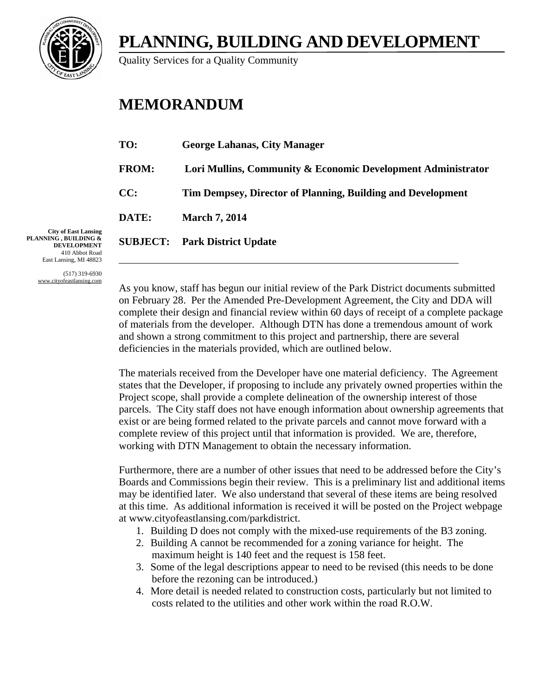

## **PLANNING, BUILDING AND DEVELOPMENT**

Quality Services for a Quality Community

## **MEMORANDUM**

| TO:          | <b>George Lahanas, City Manager</b>                          |
|--------------|--------------------------------------------------------------|
| <b>FROM:</b> | Lori Mullins, Community & Economic Development Administrator |
| CC:          | Tim Dempsey, Director of Planning, Building and Development  |
| DATE:        | <b>March 7, 2014</b>                                         |
|              | <b>SUBJECT:</b> Park District Update                         |
|              |                                                              |

**City of East Lansing PLANNING , BUILDING & DEVELOPMENT** 410 Abbot Road East Lansing, MI 48823

> (517) 319-6930 www.cityofeastlansing.com

As you know, staff has begun our initial review of the Park District documents submitted on February 28. Per the Amended Pre-Development Agreement, the City and DDA will complete their design and financial review within 60 days of receipt of a complete package of materials from the developer. Although DTN has done a tremendous amount of work and shown a strong commitment to this project and partnership, there are several deficiencies in the materials provided, which are outlined below.

The materials received from the Developer have one material deficiency. The Agreement states that the Developer, if proposing to include any privately owned properties within the Project scope, shall provide a complete delineation of the ownership interest of those parcels. The City staff does not have enough information about ownership agreements that exist or are being formed related to the private parcels and cannot move forward with a complete review of this project until that information is provided. We are, therefore, working with DTN Management to obtain the necessary information.

Furthermore, there are a number of other issues that need to be addressed before the City's Boards and Commissions begin their review. This is a preliminary list and additional items may be identified later. We also understand that several of these items are being resolved at this time. As additional information is received it will be posted on the Project webpage at www.cityofeastlansing.com/parkdistrict.

- 1. Building D does not comply with the mixed-use requirements of the B3 zoning.
- 2. Building A cannot be recommended for a zoning variance for height. The maximum height is 140 feet and the request is 158 feet.
- 3. Some of the legal descriptions appear to need to be revised (this needs to be done before the rezoning can be introduced.)
- 4. More detail is needed related to construction costs, particularly but not limited to costs related to the utilities and other work within the road R.O.W.